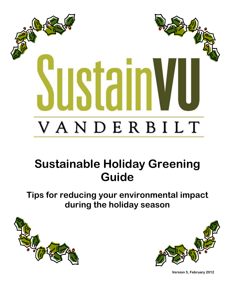

# **Sustainable Holiday Greening Guide**

**Tips for reducing your environmental impact during the holiday season**





**Version 5, February 2012**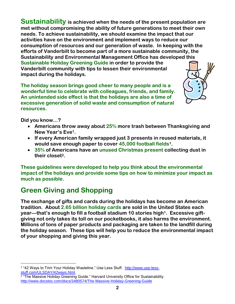**Sustainability is achieved when the needs of the present population are met without compromising the ability of future generations to meet their own needs. To achieve sustainability, we should examine the impact that our activities have on the environment and implement ways to reduce our consumption of resources and our generation of waste. In keeping with the efforts of Vanderbilt to become part of a more sustainable community, the Sustainability and Environmental Management Office has developed this Sustainable Holiday Greening Guide in order to provide the Vanderbilt community with tips to lessen their environmental impact during the holidays.**

**The holiday season brings good cheer to many people and is a wonderful time to celebrate with colleagues, friends, and family. An unintended side effect is that the holidays are also a time of excessive generation of solid waste and consumption of natural resources.**



**Did you know…?**

- **Americans throw away about 25% more trash between Thanksgiving and New Year's Eve1.**
- **If every American family wrapped just 3 presents in reused materials, it would save enough paper to cover 45,000 football fields1.**
- **35% of Americans have an unused Christmas present collecting dust in their closet2.**

**These guidelines were developed to help you think about the environmental impact of the holidays and provide some tips on how to minimize your impact as much as possible.**

## **Green Giving and Shopping**

**The exchange of gifts and cards during the holidays has become an American tradition. About 2.65 billion holiday cards are sold in the United States each year—that's enough to fill a football stadium 10 stories high1. Excessive giftgiving not only takes its toll on our pocketbooks, it also harms the environment. Millions of tons of paper products and packaging are taken to the landfill during the holiday season. These tips will help you to reduce the environmental impact of your shopping and giving this year.**

 $\overline{a}$ <sup>1</sup> "42 Ways to Trim Your Holiday Wasteline." Use Less Stuff. [http://www.use-less](http://www.use-less-stuff.com/ULSDAY/42ways.html)[stuff.com/ULSDAY/42ways.html.](http://www.use-less-stuff.com/ULSDAY/42ways.html)

<sup>2</sup> "The Massive Holiday Greening Guide." Harvard University Office for Sustainability. <http://www.docstoc.com/docs/3480574/The-Massive-Holiday-Greening-Guide>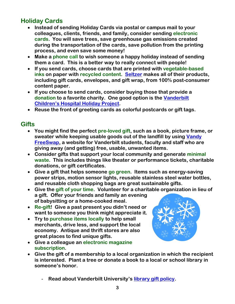## **Holiday Cards**

- **Instead of sending Holiday Cards via postal or campus mail to your colleagues, clients, friends, and family, consider sending electronic cards. You will save trees, save greenhouse gas emissions created during the transportation of the cards, save pollution from the printing process, and even save some money!**
- **Make a phone call to wish someone a happy holiday instead of sending them a card. This is a better way to really connect with people!**
- **If you send cards, choose cards that are printed with vegetable-based inks on paper with recycled content. [Seltzer](http://www.seltzergoods.com/) makes all of their products, including gift cards, envelopes, and gift wrap, from 100% post-consumer content paper.**
- **If you choose to send cards, consider buying those that provide a donation to a favorite charity. One good option is the [Vanderbilt](http://www.vanderbiltchildrens.com/holidayproject)  [Children's Hospital](http://www.vanderbiltchildrens.com/holidayproject) Holiday Project.**
- **Reuse the front of greeting cards as colorful postcards or gift tags.**

#### **Gifts**

- **You might find the perfect pre-loved gift, such as a book, picture frame, or sweater while keeping usable goods out of the landfill by using [Vandy](http://www.vanderbilt.edu/sustainvu/vandy-freeswap/)  [FreeSwap,](http://www.vanderbilt.edu/sustainvu/vandy-freeswap/) a website for Vanderbilt students, faculty and staff who are giving away (and getting) free, usable, unwanted items.**
- **Consider gifts that support your local community and generate minimal waste. This includes things like theater or performance tickets, charitable donations, or gift certificates.**
- **Give a gift that helps someone go green. Items such as energy-saving power strips, motion sensor lights, reusable stainless steel water bottles, and reusable cloth shopping bags are great sustainable gifts.**
- **Give the gift of your time. Volunteer for a charitable organization in lieu of a gift. Offer your friends and family an evening of babysitting or a home-cooked meal.**
- **Re-gift! Give a past present you didn't need or want to someone you think might appreciate it.**
- **Try to purchase items locally to help small merchants, drive less, and support the local economy. Antique and thrift stores are also great places to find unique gifts.**
- **Give a colleague an electronic magazine subscription.**
- **Give the gift of a membership to a local organization in which the recipient is interested. Plant a tree or donate a book to a local or school library in someone's honor.**
- 

- **Read about Vanderbilt University's [library gift policy.](http://staffweb.library.vanderbilt.edu/cdag/giftpolicy.html)**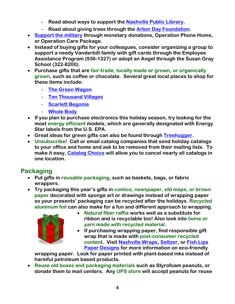- **Read about ways to support the [Nashville Public Library.](http://www.nplf.org/Ways_to_Support)**
- **Read about giving trees through the [Arbor Day Foundation.](http://www.arborday.org/join/tictim/index.cfm)**
- **[Support the military](http://www.uso.org/donatelanding.aspx) through monetary donations, Operation Phone Home, or Operation Care Package.**
- **Instead of buying gifts for your colleagues, consider organizing a group to support a needy Vanderbilt family with gift cards through the Employee Assistance Program (936-1327) or adopt an Angel through the Susan Gray School (322-8200).**
- **Purchase gifts that are fair-trade, locally made or grown, or organically grown, such as coffee or chocolate. Several great local places to shop for these items include:**
	- **[The Green Wagon](http://www.greenwagonnashville.com/)**
	- **[Ten Thousand Villages](http://www.tenthousandvillages.com/)**
	- **[Scarlett Begonia](http://scarlettbegonia.com/)**
	- **[Whole Body](http://www.wholefoodsmarket.com/stores/nashville/)**
- **If you plan to purchase electronics this holiday season, try looking for the most energy efficient models, which are generally designated with Energy Star labels from the U.S. EPA.**
- **Great ideas for green gifts can also be found through [Treehugger.](http://www.treehugger.com/giftguide/)**
- **Unsubscribe! Call or email catalog companies that send holiday catalogs to your office and home and ask to be removed from their mailing lists. To make it easy, [Catalog Choice](http://www.catalogchoice.org/) will allow you to cancel nearly all catalogs in one location.**

#### **Packaging**

- **Put gifts in reusable packaging, such as baskets, bags, or fabric wrappers.**
- **Try packaging this year's gifts in comics, newspaper, old maps, or brown paper decorated with sponge art or drawings instead of wrapping paper so your presents' packaging can be recycled after the holidays. Recycled aluminum foil can also make for a fun and different approach to wrapping.**



- **Natural fiber raffia works well as a substitute for ribbon and is recyclable too! Also look into twine or yarn made with recycled material.**
- **If purchasing wrapping paper, find responsible gift wrap that is made with post-consumer recycled content. Visit [Nashville Wraps,](http://www.nashvillewraps.com/) [Seltzer,](http://www.seltzergoods.com/) or [Fish Lips](http://www.fishlipspaperdesigns.com/)  [Paper Designs](http://www.fishlipspaperdesigns.com/) for more information on eco-friendly**

**wrapping paper. Look for paper printed with plant-based inks instead of harmful petroleum based products.** 

 **Reuse old boxes and packaging materials such as Styrofoam peanuts, or donate them to mail centers. Any UPS store will accept peanuts for reuse**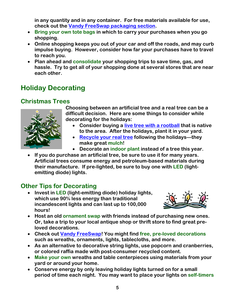**in any quantity and in any container. For free materials available for use, check out the [Vandy FreeSwap packaging section.](http://www.vanderbilt.edu/sustainvu/vandy-freeswap/)**

- **Bring your own tote bags in which to carry your purchases when you go shopping.**
- **Online shopping keeps you out of your car and off the roads, and may curb impulse buying. However, consider how far your purchases have to travel to reach you.**
- **Plan ahead and consolidate your shopping trips to save time, gas, and hassle. Try to get all of your shopping done at several stores that are near each other.**

## **Holiday Decorating**

### **Christmas Trees**



**Choosing between an artificial tree and a real tree can be a difficult decision. Here are some things to consider while decorating for the holidays:**

- **Consider buying a [live tree with a rootball](http://www.bhg.com/gardening/trees-shrubs-vines/trees/buying-a-christmas-tree-to-plant/) that is native to the area. After the holidays, plant it in your yard.**
- **[Recycle your real tree](http://search.earth911.com/?what=christmas+trees&where=&latitude=&longitude=&country=&province=&city=) following the holidays—they make great mulch!**
- **Decorate an indoor plant instead of a tree this year.**
- **If you do purchase an artificial tree, be sure to use it for many years. Artificial trees consume energy and petroleum-based materials during their manufacture. If pre-lighted, be sure to buy one with LED (lightemitting diode) lights.**

## **Other Tips for Decorating**

 **Invest in LED (light-emitting diode) holiday lights, which use 90% less energy than traditional incandescent lights and can last up to 100,000 hours!**



- **Host an old ornament swap with friends instead of purchasing new ones. Or, take a trip to your local antique shop or thrift store to find great preloved decorations.**
- **Check out [Vandy FreeSwap!](http://www.vanderbilt.edu/sustainvu/vandy-freeswap/) You might find free, pre-loved decorations such as wreaths, ornaments, lights, tablecloths, and more.**
- **As an alternative to decorative string lights, use popcorn and cranberries, or colored raffia made with post-consumer recycled content.**
- **Make your own wreaths and table centerpieces using materials from your yard or around your home.**
- **Conserve energy by only leaving holiday lights turned on for a small period of time each night. You may want to place your lights on self-timers**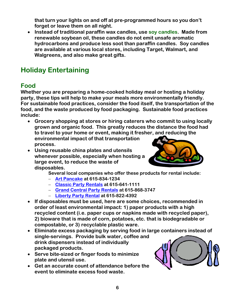**that turn your lights on and off at pre-programmed hours so you don't forget or leave them on all night.**

 **Instead of traditional paraffin wax candles, use soy candles. Made from renewable soybean oil, these candles do not emit unsafe aromatic hydrocarbons and produce less soot than paraffin candles. Soy candles are available at various local stores, including Target, Walmart, and Walgreens, and also make great gifts.**

# **Holiday Entertaining**

#### **Food**

**Whether you are preparing a home-cooked holiday meal or hosting a holiday party, these tips will help to make your meals more environmentally friendly. For sustainable food practices, consider the food itself, the transportation of the food, and the waste produced by food packaging. Sustainable food practices include:**

- **Grocery shopping at stores or hiring caterers who commit to using locally grown and organic food. This greatly reduces the distance the food had to travel to your home or event, making it fresher, and reducing the environmental impact of that transportation process.**
- **Using reusable china plates and utensils whenever possible, especially when hosting a large event, to reduce the waste of disposables.**



**Several local companies who offer these products for rental include:**

- **[Art Pancake](http://www.artpancakeparty.com/) at 615-834-1234**
- **[Classic Party Rentals](http://nashville.classicpartyrentals.com/) at 615-641-1111**
- **[Grand Central Party Rentals](http://www.grandcentralparty.com/) at 615-868-3747**
- **[Liberty Party Rental](http://libertypartyrental.com/) at 615-822-4392**
- **If disposables must be used, here are some choices, recommended in order of least environmental impact: 1) paper products with a high recycled content (i.e. paper cups or napkins made with recycled paper), 2) bioware that is made of corn, potatoes, etc. that is biodegradable or compostable, or 3) recyclable plastic ware.**
- **Eliminate excess packaging by serving food in large containers instead of single-servings. Provide bulk water, coffee and drink dispensers instead of individually packaged products.**
- **Serve bite-sized or finger foods to minimize plate and utensil use.**
- **Get an accurate count of attendance before the event to eliminate excess food waste.**

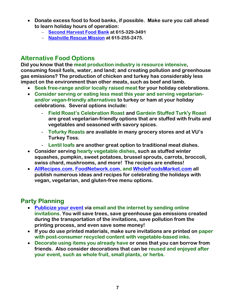- **Donate excess food to food banks, if possible. Make sure you call ahead to learn holiday hours of operation:**
	- **[Second Harvest Food Bank](http://secondharvestmidtn.org/) at 615-329-3491**
	- **[Nashville Rescue Mission](http://www.nashvillerescuemission.org/) at 615-255-2475.**

#### **Alternative Food Options**

**Did you know that the meat production industry is resource intensive, consuming fossil fuels, water, and land; and creating pollution and greenhouse gas emissions? The production of chicken and turkey has considerably less impact on the environment than other meats, such as beef and lamb.**

- **Seek free-range and/or locally raised meat for your holiday celebrations.**
- **Consider serving or eating less meat this year and serving vegetarianand/or vegan-friendly alternatives to turkey or ham at your holiday celebrations. Several options include:**
	- **Field Roast's Celebration Roast and Gardein Stuffed Turk'y Roast are great vegetarian-friendly options that are stuffed with fruits and vegetables and seasoned with savory spices.**
	- **Tofurky Roasts are available in many grocery stores and at VU's Turkey Toss.**
	- **Lentil loafs are another great option to traditional meat dishes.**
- **Consider serving hearty vegetable dishes, such as stuffed winter squashes, pumpkin, sweet potatoes, brussel sprouts, carrots, broccoli, swiss chard, mushrooms, and more! The recipes are endless!**
- **[AllRecipes.com,](http://allrecipes.com/) [FoodNetwork.com,](http://www.foodnetwork.com/) and [WholeFoodsMarket.com](http://wholefoodsmarket.com/recipes/) all publish numerous ideas and recipes for celebrating the holidays with vegan, vegetarian, and gluten-free menu options.**

## **Party Planning**

- **[Publicize your event](http://www.evite.com/) via email and the internet by sending online invitations. You will save trees, save greenhouse gas emissions created during the transportation of the invitations, save pollution from the printing process, and even save some money!**
- **If you do use printed materials, make sure invitations are printed on paper with post-consumer recycled content with vegetable-based inks.**
- **Decorate using items you already have or ones that you can borrow from friends. Also consider decorations that can be reused and enjoyed after your event, such as whole fruit, small plants, or herbs.**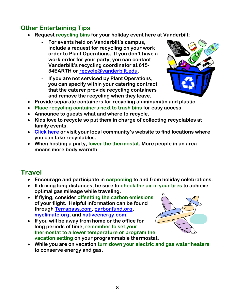## **Other Entertaining Tips**

- **Request recycling bins for your holiday event here at Vanderbilt:**
	- **For events held on Vanderbilt's campus, include a request for recycling on your work order to Plant Operations. If you don't have a work order for your party, you can contact Vanderbilt's recycling coordinator at 615- 34EARTH or [recycle@vanderbilt.edu.](mailto:recycle@vanderbilt.edu)**
	- **If you are not serviced by Plant Operations, you can specify within your catering contract that the caterer provide recycling containers and remove the recycling when they leave.**



- **Provide separate containers for recycling aluminum/tin and plastic.**
- **Place recycling containers next to trash bins for easy access.**
- **Announce to guests what and where to recycle.**
- **Kids love to recycle so put them in charge of collecting recyclables at family events.**
- **[Click here](http://www.nashville.gov/recycle) or visit your local community's website to find locations where you can take recyclables.**
- **When hosting a party, lower the thermostat. More people in an area means more body warmth.**

## **Travel**

- **Encourage and participate in carpooling to and from holiday celebrations.**
- **If driving long distances, be sure to check the air in your tires to achieve optimal gas mileage while traveling.**
- **If flying, consider offsetting the carbon emissions of your flight. Helpful information can be found through [Terrapass.com,](http://www.terrapass.com/) [carbonfund.org,](http://www.carbonfund.org/) [myclimate.org,](http://www.myclimate.org/) and [nativeenergy.com.](http://www.nativeenergy.com/)**
- **If you will be away from home or the office for long periods of time, remember to set your thermostat to a lower temperature or program the vacation setting on your programmable thermostat.**



 **While you are on vacation turn down your electric and gas water heaters to conserve energy and gas.**